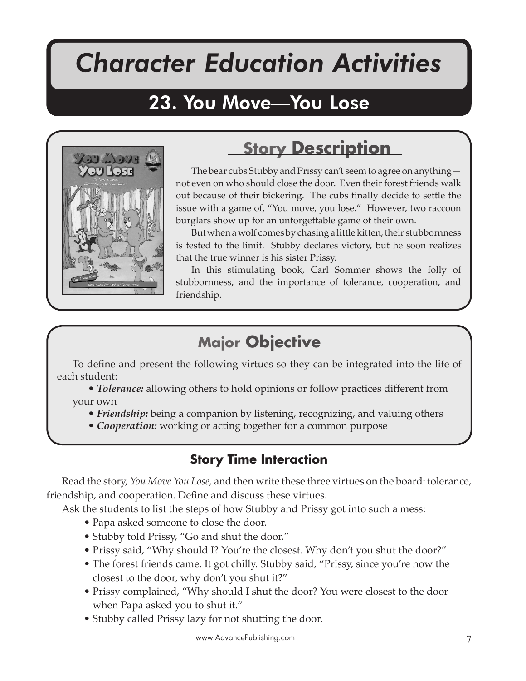# *Character Education Activities*

You Move You Lose

## 23. You Move—You Lose



### **Story Description**

The bear cubs Stubby and Prissy can't seem to agree on anything not even on who should close the door. Even their forest friends walk out because of their bickering. The cubs finally decide to settle the issue with a game of, "You move, you lose." However, two raccoon burglars show up for an unforgettable game of their own.

But when a wolf comes by chasing a little kitten, their stubbornness is tested to the limit. Stubby declares victory, but he soon realizes that the true winner is his sister Prissy.

In this stimulating book, Carl Sommer shows the folly of stubbornness, and the importance of tolerance, cooperation, and friendship.

### **Major Objective**

To define and present the following virtues so they can be integrated into the life of each student:

• *Tolerance:* allowing others to hold opinions or follow practices different from your own

- *Friendship:* being a companion by listening, recognizing, and valuing others
- *Cooperation:* working or acting together for a common purpose

#### **Story Time Interaction**

Read the story, *You Move You Lose,* and then write these three virtues on the board: tolerance, friendship, and cooperation. Define and discuss these virtues.

Ask the students to list the steps of how Stubby and Prissy got into such a mess:

- Papa asked someone to close the door.
- Stubby told Prissy, "Go and shut the door."
- Prissy said, "Why should I? You're the closest. Why don't you shut the door?"
- The forest friends came. It got chilly. Stubby said, "Prissy, since you're now the closest to the door, why don't you shut it?"
- Prissy complained, "Why should I shut the door? You were closest to the door when Papa asked you to shut it."
- Stubby called Prissy lazy for not shutting the door.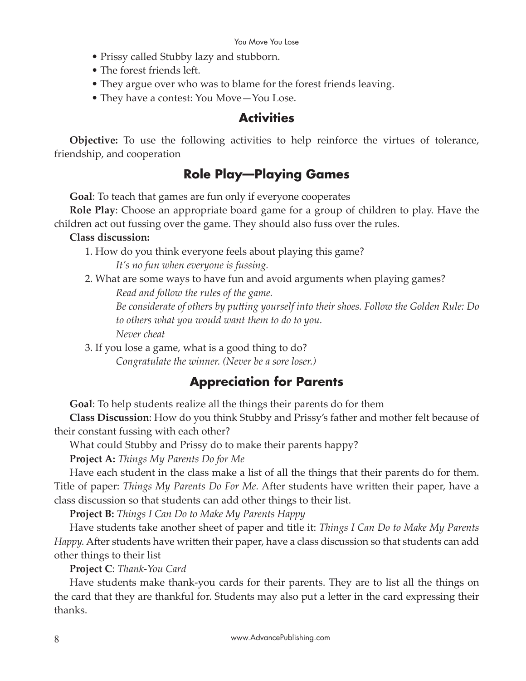- Prissy called Stubby lazy and stubborn.
- The forest friends left.
- They argue over who was to blame for the forest friends leaving.
- They have a contest: You Move—You Lose.

#### **Activities**

**Objective:** To use the following activities to help reinforce the virtues of tolerance, friendship, and cooperation

#### **Role Play—Playing Games**

**Goal**: To teach that games are fun only if everyone cooperates

**Role Play**: Choose an appropriate board game for a group of children to play. Have the children act out fussing over the game. They should also fuss over the rules.

#### **Class discussion:**

1. How do you think everyone feels about playing this game?

*It's no fun when everyone is fussing.*

2. What are some ways to have fun and avoid arguments when playing games? *Read and follow the rules of the game.*

*Be considerate of others by pu�ing yourself into their shoes. Follow the Golden Rule: Do to others what you would want them to do to you. Never cheat*

3. If you lose a game, what is a good thing to do? *Congratulate the winner. (Never be a sore loser.)*

#### **Appreciation for Parents**

**Goal**: To help students realize all the things their parents do for them

**Class Discussion**: How do you think Stubby and Prissy's father and mother felt because of their constant fussing with each other?

What could Stubby and Prissy do to make their parents happy?

**Project A:** *Things My Parents Do for Me*

Have each student in the class make a list of all the things that their parents do for them. Title of paper: *Things My Parents Do For Me.* After students have written their paper, have a class discussion so that students can add other things to their list.

**Project B:** *Things I Can Do to Make My Parents Happy*

Have students take another sheet of paper and title it: *Things I Can Do to Make My Parents Happy.* After students have written their paper, have a class discussion so that students can add other things to their list

**Project C**: *Thank-You Card*

Have students make thank-you cards for their parents. They are to list all the things on the card that they are thankful for. Students may also put a letter in the card expressing their thanks.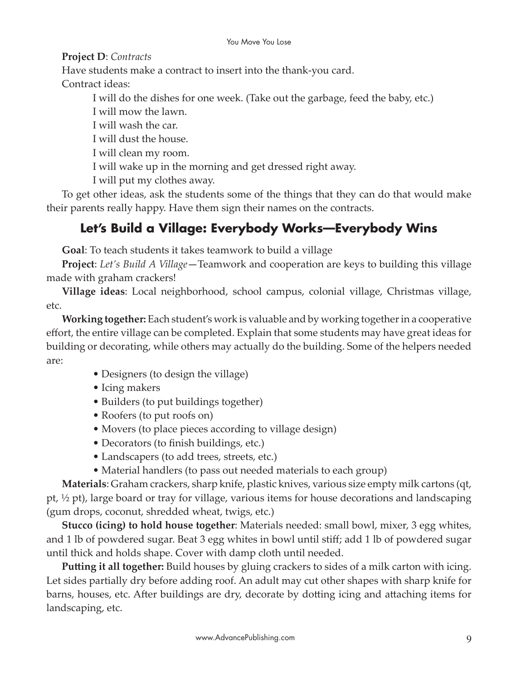**Project D**: *Contracts*

Have students make a contract to insert into the thank-you card.

Contract ideas:

I will do the dishes for one week. (Take out the garbage, feed the baby, etc.)

I will mow the lawn.

I will wash the car.

I will dust the house.

I will clean my room.

I will wake up in the morning and get dressed right away.

I will put my clothes away.

To get other ideas, ask the students some of the things that they can do that would make their parents really happy. Have them sign their names on the contracts.

### **Let's Build a Village: Everybody Works—Everybody Wins**

**Goal**: To teach students it takes teamwork to build a village

**Project**: *Let's Build A Village—*Teamwork and cooperation are keys to building this village made with graham crackers!

**Village ideas**: Local neighborhood, school campus, colonial village, Christmas village, etc.

**Working together:** Each student's work is valuable and by working together in a cooperative effort, the entire village can be completed. Explain that some students may have great ideas for building or decorating, while others may actually do the building. Some of the helpers needed are:

- Designers (to design the village)
- Icing makers
- Builders (to put buildings together)
- Roofers (to put roofs on)
- Movers (to place pieces according to village design)
- Decorators (to finish buildings, etc.)
- Landscapers (to add trees, streets, etc.)
- Material handlers (to pass out needed materials to each group)

**Materials**: Graham crackers, sharp knife, plastic knives, various size empty milk cartons (qt, pt, ½ pt), large board or tray for village, various items for house decorations and landscaping (gum drops, coconut, shredded wheat, twigs, etc.)

**Stucco (icing) to hold house together**: Materials needed: small bowl, mixer, 3 egg whites, and 1 lb of powdered sugar. Beat 3 egg whites in bowl until stiff; add 1 lb of powdered sugar until thick and holds shape. Cover with damp cloth until needed.

Putting it all together: Build houses by gluing crackers to sides of a milk carton with icing. Let sides partially dry before adding roof. An adult may cut other shapes with sharp knife for barns, houses, etc. After buildings are dry, decorate by dotting icing and attaching items for landscaping, etc.